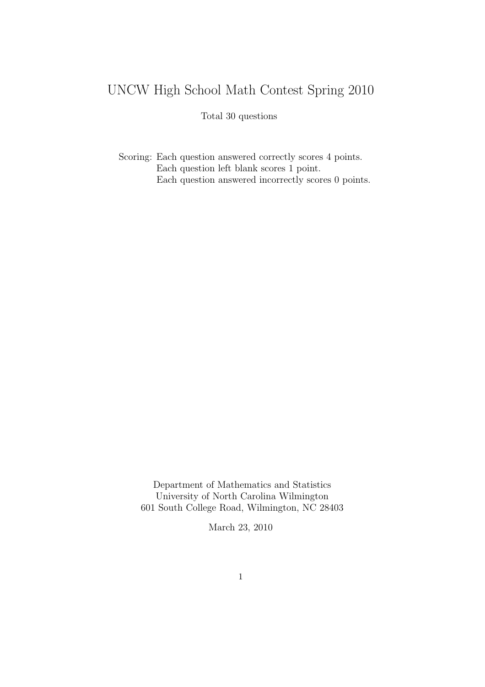## UNCW High School Math Contest Spring 2010

## Total 30 questions

Scoring: Each question answered correctly scores 4 points. Each question left blank scores 1 point. Each question answered incorrectly scores 0 points.

Department of Mathematics and Statistics University of North Carolina Wilmington 601 South College Road, Wilmington, NC 28403

March 23, 2010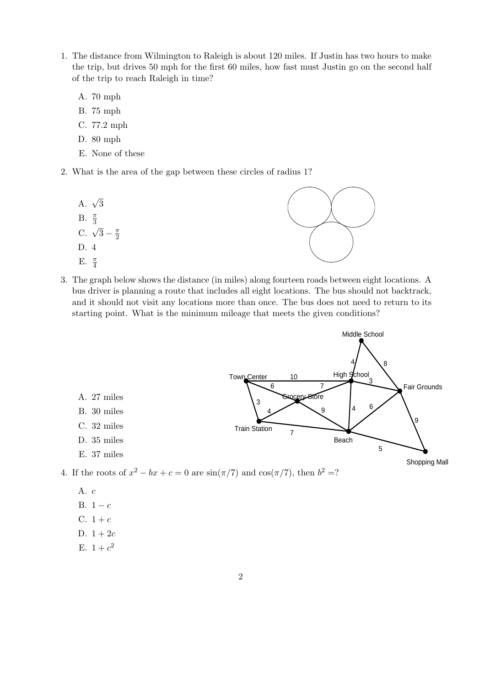- 1. The distance from Wilmington to Raleigh is about 120 miles. If Justin has two hours to make the trip, but drives 50 mph for the first 60 miles, how fast must Justin go on the second half of the trip to reach Raleigh in time?
	- A. 70 mph
	- B. 75 mph
	- C. 77.2 mph
	- D. 80 mph
	- E. None of these

2

- 2. What is the area of the gap between these circles of radius 1?
	- A.  $\sqrt{3}$ B.  $\frac{\pi}{3}$ C.  $\sqrt{3} - \frac{\pi}{2}$ D. 4
	- E.  $\frac{\pi}{4}$



3. The graph below shows the distance (in miles) along fourteen roads between eight locations. A bus driver is planning a route that includes all eight locations. The bus should not backtrack, and it should not visit any locations more than once. The bus does not need to return to its starting point. What is the minimum mileage that meets the given conditions?



- A. c
- B.  $1 c$
- C.  $1 + c$
- D.  $1 + 2c$
- E.  $1 + c^2$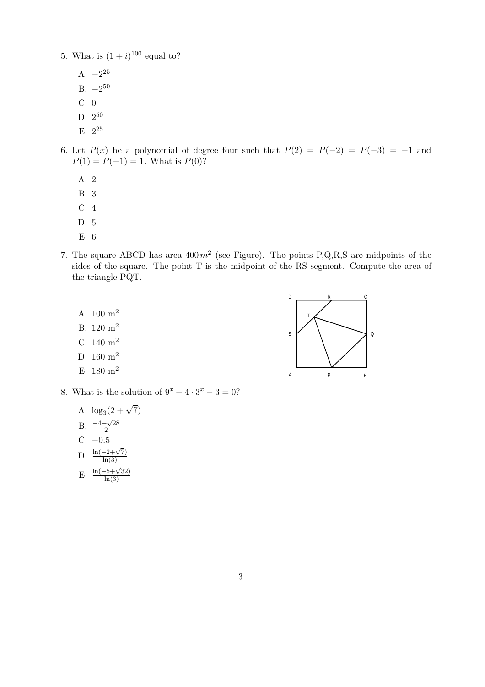- 5. What is  $(1+i)^{100}$  equal to?
	- A.  $-2^{25}$
	- B.  $-2^{50}$
	- C. 0
	- D. 2<sup>50</sup>
	- E. 2<sup>25</sup>
- 6. Let  $P(x)$  be a polynomial of degree four such that  $P(2) = P(-2) = P(-3) = -1$  and  $P(1) = P(-1) = 1$ . What is  $P(0)$ ?
	- A. 2
	- B. 3
	- C. 4
	- D. 5
	- E. 6
- 7. The square ABCD has area  $400 \, m^2$  (see Figure). The points P,Q,R,S are midpoints of the sides of the square. The point T is the midpoint of the RS segment. Compute the area of the triangle PQT.
	- A. 100 m<sup>2</sup>
	- B. 120 m<sup>2</sup>
	- C. 140 m<sup>2</sup>
	- D.  $160 \text{ m}^2$
	- E.  $180 \text{ m}^2$
- 8. What is the solution of  $9^x + 4 \cdot 3^x 3 = 0$ ?

A. 
$$
\log_3(2 + \sqrt{7})
$$
  
B.  $\frac{-4 + \sqrt{28}}{2}$   
C. -0.5

D.  $\frac{\ln(-2+\sqrt{7})}{\ln(3)}$  $ln(3)$ 

E. 
$$
\frac{\ln(-5+\sqrt{32})}{\ln(3)}
$$

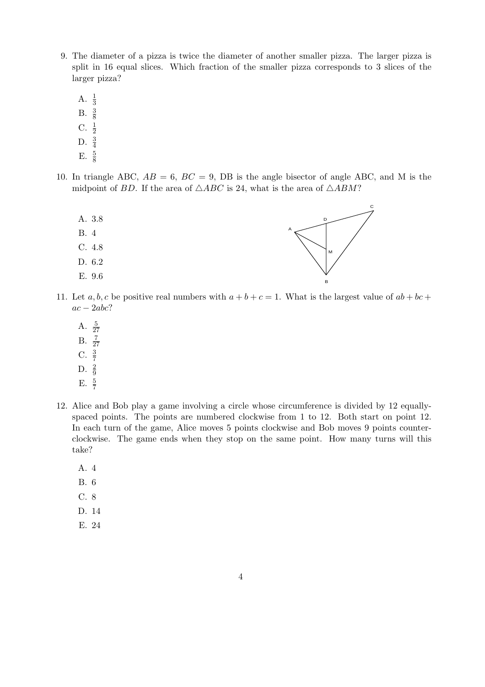- 9. The diameter of a pizza is twice the diameter of another smaller pizza. The larger pizza is split in 16 equal slices. Which fraction of the smaller pizza corresponds to 3 slices of the larger pizza?
	- A.  $\frac{1}{3}$
	- B.  $\frac{3}{8}$
	- $C. \frac{1}{2}$
	- D.  $\frac{3}{4}$
	- E.  $\frac{5}{8}$
- 10. In triangle ABC,  $AB = 6$ ,  $BC = 9$ , DB is the angle bisector of angle ABC, and M is the midpoint of BD. If the area of  $\triangle ABC$  is 24, what is the area of  $\triangle ABM$ ?



- 11. Let a, b, c be positive real numbers with  $a + b + c = 1$ . What is the largest value of  $ab + bc +$  $ac - 2abc$ ?
	- A.  $\frac{5}{27}$
	- $B. \frac{7}{27}$
	- C.  $\frac{3}{7}$
	- D.  $\frac{2}{9}$
	- E.  $\frac{5}{7}$
- 12. Alice and Bob play a game involving a circle whose circumference is divided by 12 equallyspaced points. The points are numbered clockwise from 1 to 12. Both start on point 12. In each turn of the game, Alice moves 5 points clockwise and Bob moves 9 points counterclockwise. The game ends when they stop on the same point. How many turns will this take?
	- A. 4
	- B. 6
	- C. 8
	- D. 14
	- E. 24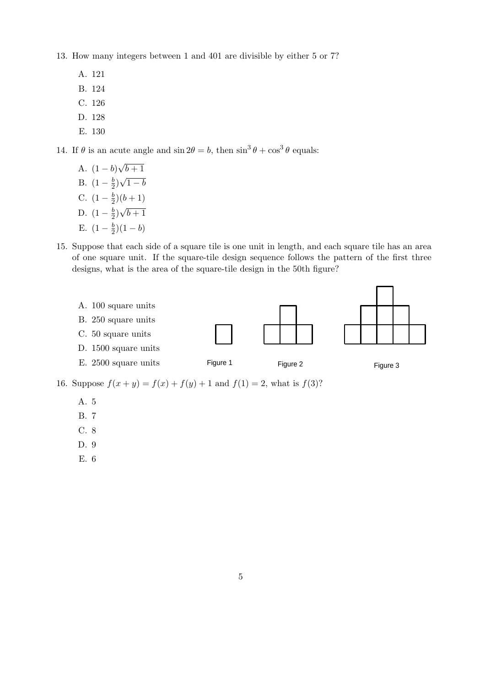13. How many integers between 1 and 401 are divisible by either 5 or 7?

- A. 121
- B. 124
- C. 126
- D. 128
- E. 130

14. If  $\theta$  is an acute angle and  $\sin 2\theta = b$ , then  $\sin^3 \theta + \cos^3 \theta$  equals:

- A.  $(1-b)$ √  $\overline{b+1}$ √
- B.  $(1-\frac{b}{2})$  $\frac{b}{2}$  $1-b$
- C.  $(1 \frac{b}{2})$  $(\frac{b}{2})(b+1)$ √
- D.  $(1-\frac{b}{2})$  $\frac{b}{2}$  $\overline{b+1}$
- E.  $(1-\frac{b}{2})$  $(\frac{b}{2})(1-b)$
- 15. Suppose that each side of a square tile is one unit in length, and each square tile has an area of one square unit. If the square-tile design sequence follows the pattern of the first three designs, what is the area of the square-tile design in the 50th figure?



16. Suppose  $f(x + y) = f(x) + f(y) + 1$  and  $f(1) = 2$ , what is  $f(3)$ ?

- A. 5
- B. 7
- C. 8
- D. 9
- E. 6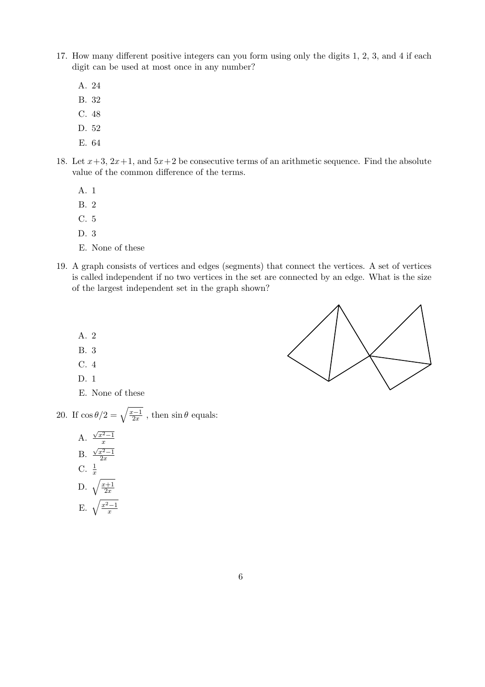- 17. How many different positive integers can you form using only the digits 1, 2, 3, and 4 if each digit can be used at most once in any number?
	- A. 24
	- B. 32
	- C. 48
	- D. 52
	- E. 64
- 18. Let  $x+3$ ,  $2x+1$ , and  $5x+2$  be consecutive terms of an arithmetic sequence. Find the absolute value of the common difference of the terms.
	- A. 1
	- B. 2
	- C. 5
	- D. 3
	- E. None of these
- 19. A graph consists of vertices and edges (segments) that connect the vertices. A set of vertices is called independent if no two vertices in the set are connected by an edge. What is the size of the largest independent set in the graph shown?
	- A. 2
	- B. 3
	- C. 4
	- D. 1
	- E. None of these

20. If  $\cos \theta/2 = \sqrt{\frac{x-1}{2x}}$  $\frac{z-1}{2x}$ , then  $\sin \theta$  equals:

> A.  $\sqrt{x^2-1}$  $\overline{x}$ B.  $\sqrt{x^2-1}$  $\overline{2x}$ C.  $\frac{1}{x}$  $\sum_{x=1}^{x}$  $\overline{2x}$ E.  $\sqrt{\frac{x^2-1}{x}}$  $\overline{x}$

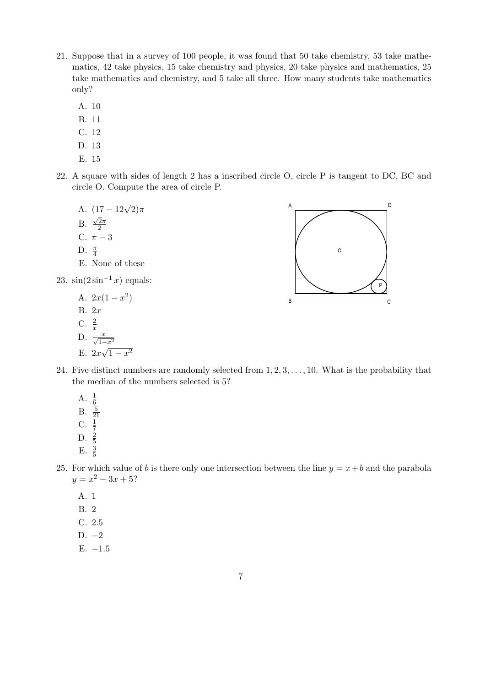- 21. Suppose that in a survey of 100 people, it was found that 50 take chemistry, 53 take mathematics, 42 take physics, 15 take chemistry and physics, 20 take physics and mathematics, 25 take mathematics and chemistry, and 5 take all three. How many students take mathematics only?
	- A. 10
	- B. 11
	- C. 12
	- D. 13
	- E. 15
- 22. A square with sides of length 2 has a inscribed circle O, circle P is tangent to DC, BC and circle O. Compute the area of circle P.
	- A.  $(17 12\sqrt{2})\pi$ B.  $\sqrt{2}\pi$ 2 C.  $\pi - 3$ D.  $\frac{\pi}{4}$ E. None of these

23.  $\sin(2\sin^{-1}x)$  equals:

- A.  $2x(1-x^2)$ B. 2x C.  $\frac{2}{x}$ <br>D.  $\frac{x}{\sqrt{1-x^2}}$
- 

E.  $2x\sqrt{1-x^2}$ 

- A B C D O P
- 24. Five distinct numbers are randomly selected from  $1, 2, 3, \ldots, 10$ . What is the probability that the median of the numbers selected is 5?
	- A.  $\frac{1}{6}$ <br>B.  $\frac{5}{21}$ <br>C.  $\frac{1}{7}$ <br>D.  $\frac{2}{5}$ E.  $\frac{3}{5}$
- 25. For which value of b is there only one intersection between the line  $y = x + b$  and the parabola  $y = x^2 - 3x + 5$ ?
	- A. 1
	- B. 2
	- C. 2.5
	- D. −2
	- E.  $-1.5$